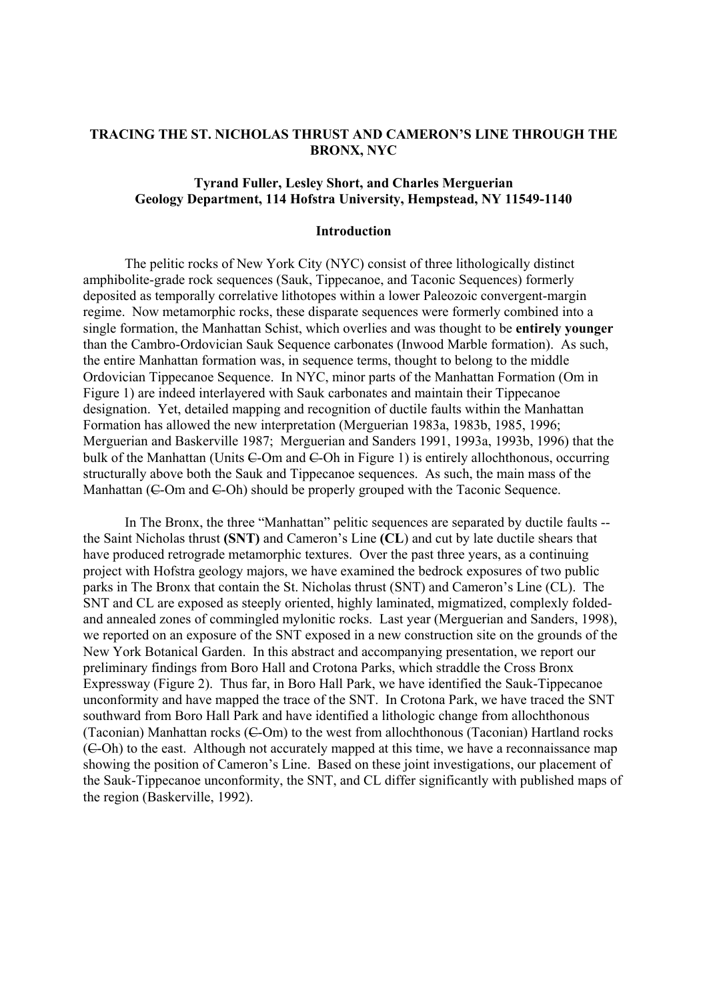# **TRACING THE ST. NICHOLAS THRUST AND CAMERON'S LINE THROUGH THE BRONX, NYC**

# **Tyrand Fuller, Lesley Short, and Charles Merguerian Geology Department, 114 Hofstra University, Hempstead, NY 11549-1140**

### **Introduction**

The pelitic rocks of New York City (NYC) consist of three lithologically distinct amphibolite-grade rock sequences (Sauk, Tippecanoe, and Taconic Sequences) formerly deposited as temporally correlative lithotopes within a lower Paleozoic convergent-margin regime. Now metamorphic rocks, these disparate sequences were formerly combined into a single formation, the Manhattan Schist, which overlies and was thought to be **entirely younger** than the Cambro-Ordovician Sauk Sequence carbonates (Inwood Marble formation). As such, the entire Manhattan formation was, in sequence terms, thought to belong to the middle Ordovician Tippecanoe Sequence. In NYC, minor parts of the Manhattan Formation (Om in Figure 1) are indeed interlayered with Sauk carbonates and maintain their Tippecanoe designation. Yet, detailed mapping and recognition of ductile faults within the Manhattan Formation has allowed the new interpretation (Merguerian 1983a, 1983b, 1985, 1996; Merguerian and Baskerville 1987; Merguerian and Sanders 1991, 1993a, 1993b, 1996) that the bulk of the Manhattan (Units  $\epsilon$ -Om and  $\epsilon$ -Oh in Figure 1) is entirely allochthonous, occurring structurally above both the Sauk and Tippecanoe sequences. As such, the main mass of the Manhattan (C-Om and C-Oh) should be properly grouped with the Taconic Sequence.

In The Bronx, the three "Manhattan" pelitic sequences are separated by ductile faults - the Saint Nicholas thrust **(SNT)** and Cameron's Line **(CL**) and cut by late ductile shears that have produced retrograde metamorphic textures. Over the past three years, as a continuing project with Hofstra geology majors, we have examined the bedrock exposures of two public parks in The Bronx that contain the St. Nicholas thrust (SNT) and Cameron's Line (CL). The SNT and CL are exposed as steeply oriented, highly laminated, migmatized, complexly foldedand annealed zones of commingled mylonitic rocks. Last year (Merguerian and Sanders, 1998), we reported on an exposure of the SNT exposed in a new construction site on the grounds of the New York Botanical Garden. In this abstract and accompanying presentation, we report our preliminary findings from Boro Hall and Crotona Parks, which straddle the Cross Bronx Expressway (Figure 2). Thus far, in Boro Hall Park, we have identified the Sauk-Tippecanoe unconformity and have mapped the trace of the SNT. In Crotona Park, we have traced the SNT southward from Boro Hall Park and have identified a lithologic change from allochthonous (Taconian) Manhattan rocks  $(C-Om)$  to the west from allochthonous (Taconian) Hartland rocks (C-Oh) to the east. Although not accurately mapped at this time, we have a reconnaissance map showing the position of Cameron's Line. Based on these joint investigations, our placement of the Sauk-Tippecanoe unconformity, the SNT, and CL differ significantly with published maps of the region (Baskerville, 1992).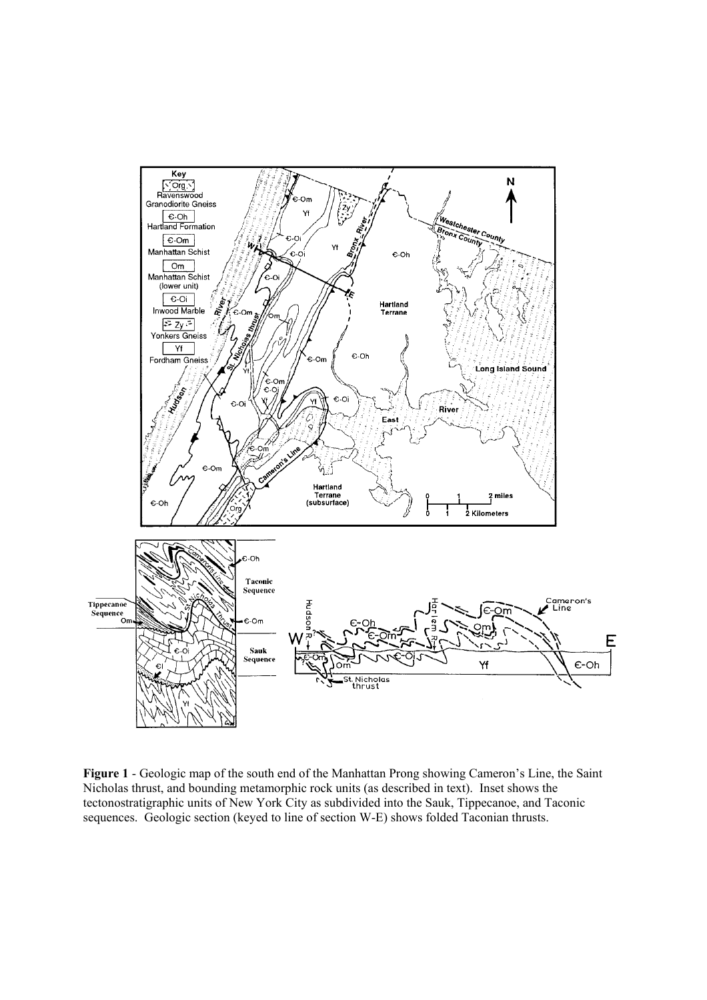

**Figure 1** - Geologic map of the south end of the Manhattan Prong showing Cameron's Line, the Saint Nicholas thrust, and bounding metamorphic rock units (as described in text). Inset shows the tectonostratigraphic units of New York City as subdivided into the Sauk, Tippecanoe, and Taconic sequences. Geologic section (keyed to line of section W-E) shows folded Taconian thrusts.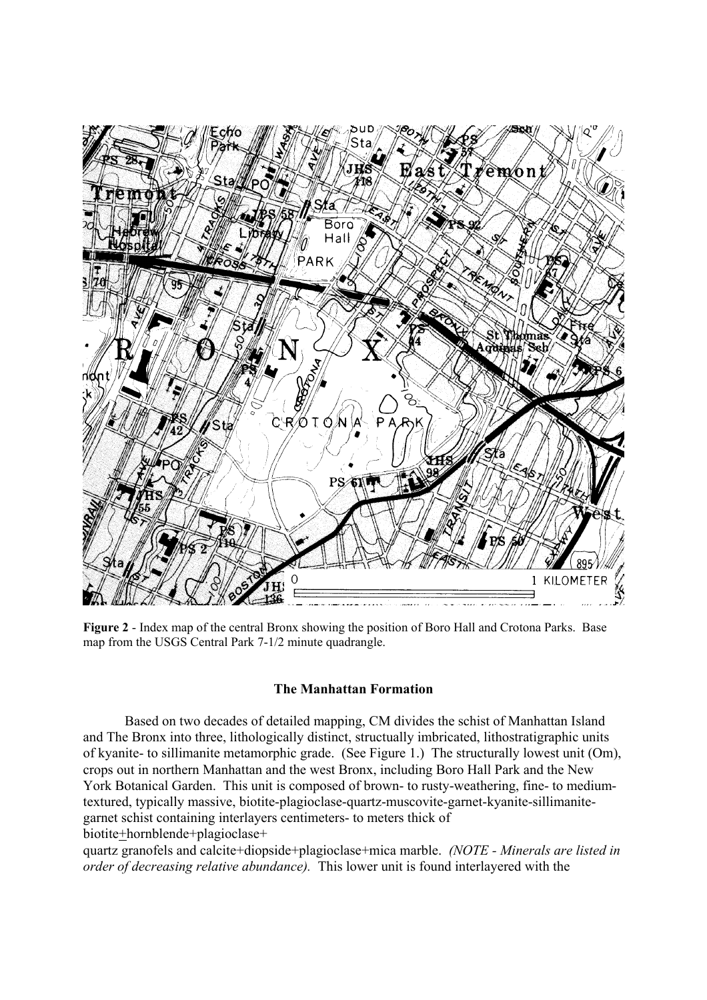

**Figure 2** - Index map of the central Bronx showing the position of Boro Hall and Crotona Parks. Base map from the USGS Central Park 7-1/2 minute quadrangle.

# **The Manhattan Formation**

 Based on two decades of detailed mapping, CM divides the schist of Manhattan Island and The Bronx into three, lithologically distinct, structually imbricated, lithostratigraphic units of kyanite- to sillimanite metamorphic grade. (See Figure 1.) The structurally lowest unit (Om), crops out in northern Manhattan and the west Bronx, including Boro Hall Park and the New York Botanical Garden. This unit is composed of brown- to rusty-weathering, fine- to mediumtextured, typically massive, biotite-plagioclase-quartz-muscovite-garnet-kyanite-sillimanitegarnet schist containing interlayers centimeters- to meters thick of biotite+hornblende+plagioclase+

quartz granofels and calcite+diopside+plagioclase+mica marble. *(NOTE - Minerals are listed in order of decreasing relative abundance).* This lower unit is found interlayered with the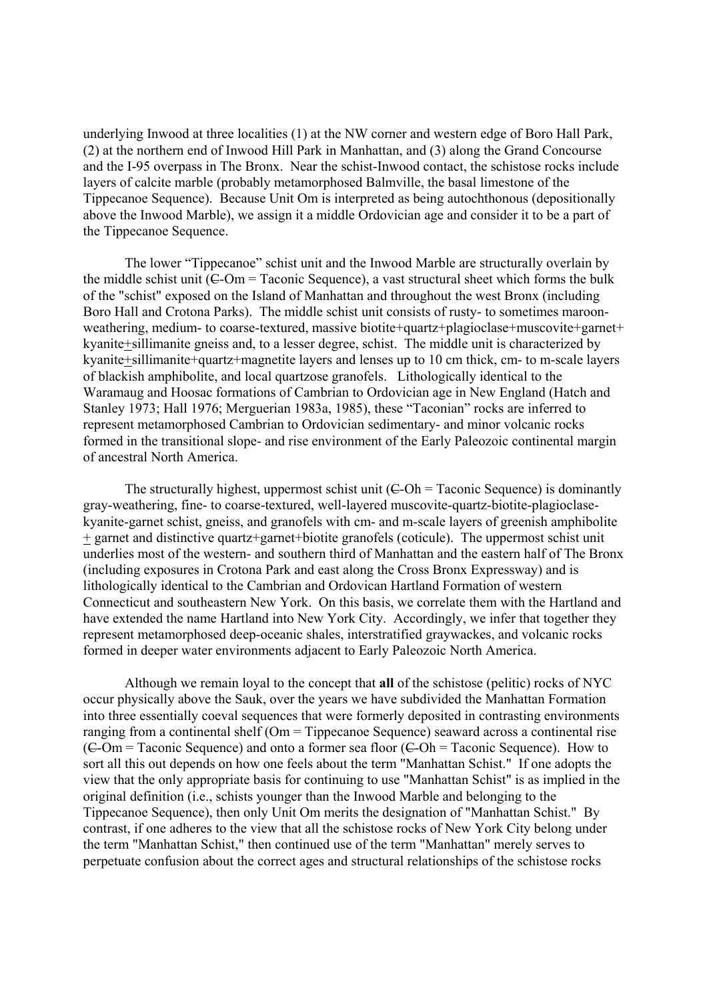underlying Inwood at three localities (1) at the NW corner and western edge of Boro Hall Park, (2) at the northern end of Inwood Hill Park in Manhattan, and (3) along the Grand Concourse and the I-95 overpass in The Bronx. Near the schist-Inwood contact, the schistose rocks include layers of calcite marble (probably metamorphosed Balmville, the basal limestone of the Tippecanoe Sequence). Because Unit Om is interpreted as being autochthonous (depositionally above the Inwood Marble), we assign it a middle Ordovician age and consider it to be a part of the Tippecanoe Sequence.

 The lower "Tippecanoe" schist unit and the Inwood Marble are structurally overlain by the middle schist unit  $(E-Om = Taconic Sequence)$ , a vast structural sheet which forms the bulk of the "schist" exposed on the Island of Manhattan and throughout the west Bronx (including Boro Hall and Crotona Parks). The middle schist unit consists of rusty- to sometimes maroonweathering, medium- to coarse-textured, massive biotite+quartz+plagioclase+muscovite+garnet+ kyanite+sillimanite gneiss and, to a lesser degree, schist. The middle unit is characterized by kyanite+sillimanite+quartz+magnetite layers and lenses up to 10 cm thick, cm- to m-scale layers of blackish amphibolite, and local quartzose granofels. Lithologically identical to the Waramaug and Hoosac formations of Cambrian to Ordovician age in New England (Hatch and Stanley 1973; Hall 1976; Merguerian 1983a, 1985), these "Taconian" rocks are inferred to represent metamorphosed Cambrian to Ordovician sedimentary- and minor volcanic rocks formed in the transitional slope- and rise environment of the Early Paleozoic continental margin of ancestral North America.

The structurally highest, uppermost schist unit  $(C$ -Oh = Taconic Sequence) is dominantly gray-weathering, fine- to coarse-textured, well-layered muscovite-quartz-biotite-plagioclasekyanite-garnet schist, gneiss, and granofels with cm- and m-scale layers of greenish amphibolite + garnet and distinctive quartz+garnet+biotite granofels (coticule). The uppermost schist unit underlies most of the western- and southern third of Manhattan and the eastern half of The Bronx (including exposures in Crotona Park and east along the Cross Bronx Expressway) and is lithologically identical to the Cambrian and Ordovican Hartland Formation of western Connecticut and southeastern New York. On this basis, we correlate them with the Hartland and have extended the name Hartland into New York City. Accordingly, we infer that together they represent metamorphosed deep-oceanic shales, interstratified graywackes, and volcanic rocks formed in deeper water environments adjacent to Early Paleozoic North America.

Although we remain loyal to the concept that **all** of the schistose (pelitic) rocks of NYC occur physically above the Sauk, over the years we have subdivided the Manhattan Formation into three essentially coeval sequences that were formerly deposited in contrasting environments ranging from a continental shelf (Om = Tippecanoe Sequence) seaward across a continental rise  $(C-Om = Taconic Sequence)$  and onto a former sea floor  $(C-Oh = Taconic Sequence)$ . How to sort all this out depends on how one feels about the term "Manhattan Schist." If one adopts the view that the only appropriate basis for continuing to use "Manhattan Schist" is as implied in the original definition (i.e., schists younger than the Inwood Marble and belonging to the Tippecanoe Sequence), then only Unit Om merits the designation of "Manhattan Schist." By contrast, if one adheres to the view that all the schistose rocks of New York City belong under the term "Manhattan Schist," then continued use of the term "Manhattan" merely serves to perpetuate confusion about the correct ages and structural relationships of the schistose rocks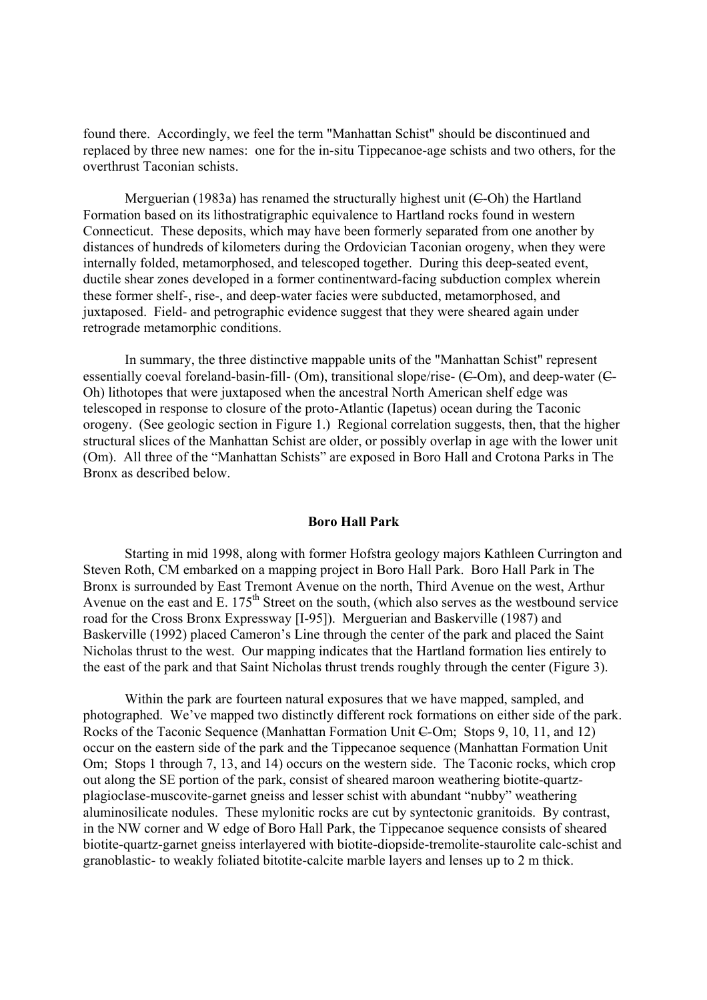found there. Accordingly, we feel the term "Manhattan Schist" should be discontinued and replaced by three new names: one for the in-situ Tippecanoe-age schists and two others, for the overthrust Taconian schists.

Merguerian (1983a) has renamed the structurally highest unit  $(C$ -Oh) the Hartland Formation based on its lithostratigraphic equivalence to Hartland rocks found in western Connecticut. These deposits, which may have been formerly separated from one another by distances of hundreds of kilometers during the Ordovician Taconian orogeny, when they were internally folded, metamorphosed, and telescoped together. During this deep-seated event, ductile shear zones developed in a former continentward-facing subduction complex wherein these former shelf-, rise-, and deep-water facies were subducted, metamorphosed, and juxtaposed. Field- and petrographic evidence suggest that they were sheared again under retrograde metamorphic conditions.

 In summary, the three distinctive mappable units of the "Manhattan Schist" represent essentially coeval foreland-basin-fill- (Om), transitional slope/rise- (C-Om), and deep-water (C-Oh) lithotopes that were juxtaposed when the ancestral North American shelf edge was telescoped in response to closure of the proto-Atlantic (Iapetus) ocean during the Taconic orogeny. (See geologic section in Figure 1.) Regional correlation suggests, then, that the higher structural slices of the Manhattan Schist are older, or possibly overlap in age with the lower unit (Om). All three of the "Manhattan Schists" are exposed in Boro Hall and Crotona Parks in The Bronx as described below.

#### **Boro Hall Park**

 Starting in mid 1998, along with former Hofstra geology majors Kathleen Currington and Steven Roth, CM embarked on a mapping project in Boro Hall Park. Boro Hall Park in The Bronx is surrounded by East Tremont Avenue on the north, Third Avenue on the west, Arthur Avenue on the east and E. 175<sup>th</sup> Street on the south, (which also serves as the westbound service road for the Cross Bronx Expressway [I-95]). Merguerian and Baskerville (1987) and Baskerville (1992) placed Cameron's Line through the center of the park and placed the Saint Nicholas thrust to the west. Our mapping indicates that the Hartland formation lies entirely to the east of the park and that Saint Nicholas thrust trends roughly through the center (Figure 3).

 Within the park are fourteen natural exposures that we have mapped, sampled, and photographed. We've mapped two distinctly different rock formations on either side of the park. Rocks of the Taconic Sequence (Manhattan Formation Unit C-Om; Stops 9, 10, 11, and 12) occur on the eastern side of the park and the Tippecanoe sequence (Manhattan Formation Unit Om; Stops 1 through 7, 13, and 14) occurs on the western side. The Taconic rocks, which crop out along the SE portion of the park, consist of sheared maroon weathering biotite-quartzplagioclase-muscovite-garnet gneiss and lesser schist with abundant "nubby" weathering aluminosilicate nodules. These mylonitic rocks are cut by syntectonic granitoids. By contrast, in the NW corner and W edge of Boro Hall Park, the Tippecanoe sequence consists of sheared biotite-quartz-garnet gneiss interlayered with biotite-diopside-tremolite-staurolite calc-schist and granoblastic- to weakly foliated bitotite-calcite marble layers and lenses up to 2 m thick.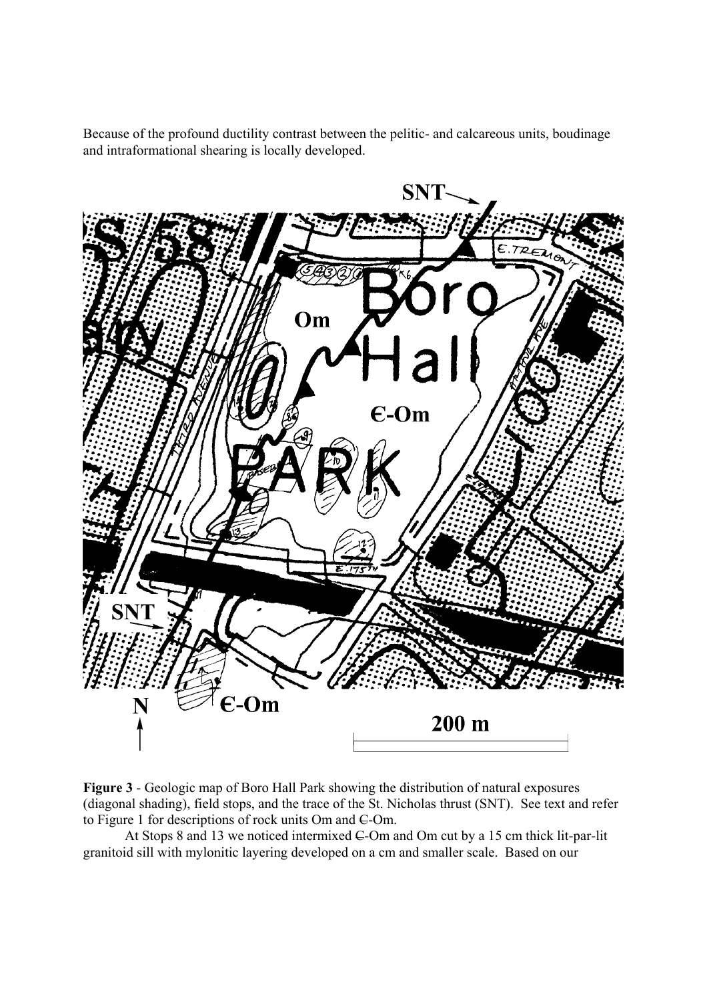Because of the profound ductility contrast between the pelitic- and calcareous units, boudinage and intraformational shearing is locally developed.

![](_page_5_Figure_1.jpeg)

**Figure 3** - Geologic map of Boro Hall Park showing the distribution of natural exposures (diagonal shading), field stops, and the trace of the St. Nicholas thrust (SNT). See text and refer to Figure 1 for descriptions of rock units Om and C-Om.

At Stops 8 and 13 we noticed intermixed  $\epsilon$ -Om and Om cut by a 15 cm thick lit-par-lit granitoid sill with mylonitic layering developed on a cm and smaller scale. Based on our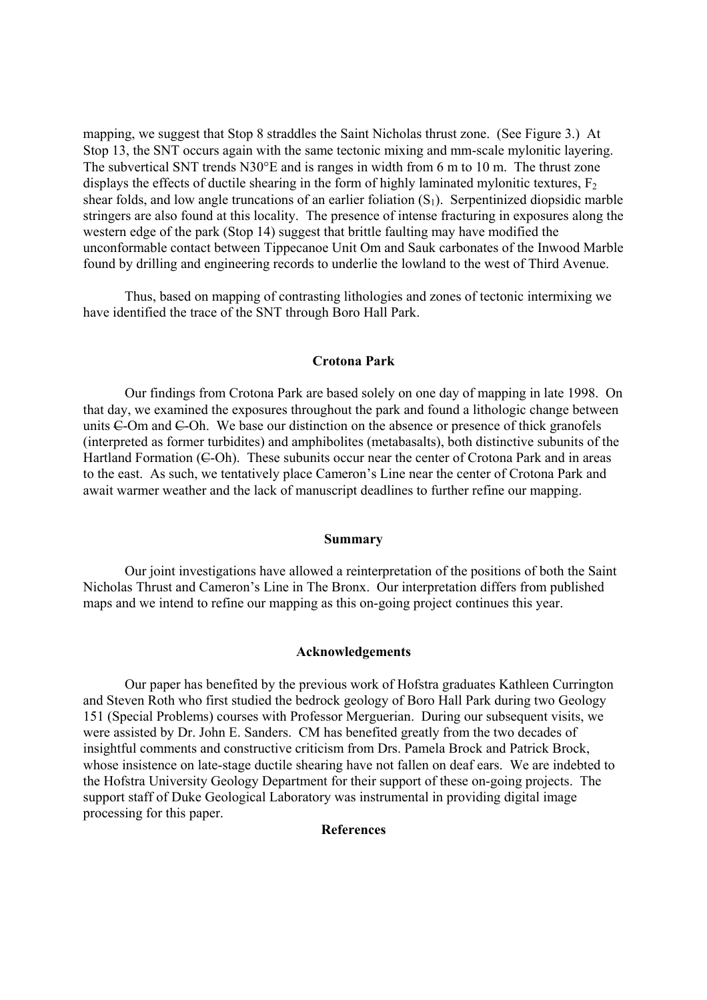mapping, we suggest that Stop 8 straddles the Saint Nicholas thrust zone. (See Figure 3.) At Stop 13, the SNT occurs again with the same tectonic mixing and mm-scale mylonitic layering. The subvertical SNT trends N30°E and is ranges in width from 6 m to 10 m. The thrust zone displays the effects of ductile shearing in the form of highly laminated mylonitic textures,  $F<sub>2</sub>$ shear folds, and low angle truncations of an earlier foliation  $(S_1)$ . Serpentinized diopsidic marble stringers are also found at this locality. The presence of intense fracturing in exposures along the western edge of the park (Stop 14) suggest that brittle faulting may have modified the unconformable contact between Tippecanoe Unit Om and Sauk carbonates of the Inwood Marble found by drilling and engineering records to underlie the lowland to the west of Third Avenue.

 Thus, based on mapping of contrasting lithologies and zones of tectonic intermixing we have identified the trace of the SNT through Boro Hall Park.

### **Crotona Park**

 Our findings from Crotona Park are based solely on one day of mapping in late 1998. On that day, we examined the exposures throughout the park and found a lithologic change between units C-Om and C-Oh. We base our distinction on the absence or presence of thick granofels (interpreted as former turbidites) and amphibolites (metabasalts), both distinctive subunits of the Hartland Formation  $(6-Oh)$ . These subunits occur near the center of Crotona Park and in areas to the east. As such, we tentatively place Cameron's Line near the center of Crotona Park and await warmer weather and the lack of manuscript deadlines to further refine our mapping.

## **Summary**

 Our joint investigations have allowed a reinterpretation of the positions of both the Saint Nicholas Thrust and Cameron's Line in The Bronx. Our interpretation differs from published maps and we intend to refine our mapping as this on-going project continues this year.

## **Acknowledgements**

 Our paper has benefited by the previous work of Hofstra graduates Kathleen Currington and Steven Roth who first studied the bedrock geology of Boro Hall Park during two Geology 151 (Special Problems) courses with Professor Merguerian. During our subsequent visits, we were assisted by Dr. John E. Sanders. CM has benefited greatly from the two decades of insightful comments and constructive criticism from Drs. Pamela Brock and Patrick Brock, whose insistence on late-stage ductile shearing have not fallen on deaf ears. We are indebted to the Hofstra University Geology Department for their support of these on-going projects. The support staff of Duke Geological Laboratory was instrumental in providing digital image processing for this paper.

## **References**